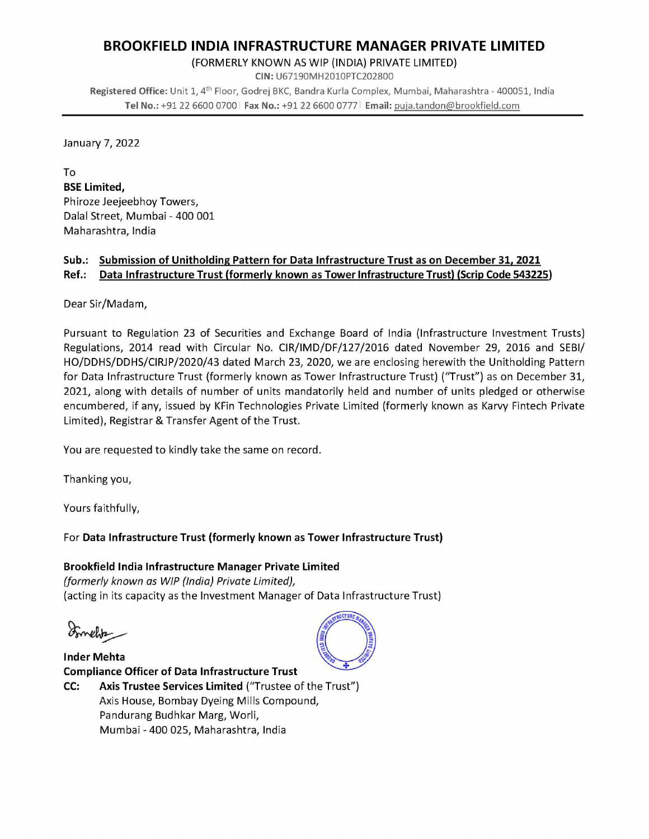## **BROOKFIELD INDIA INFRASTRUCTURE MANAGER PRIVATE LIMITED**

(FORMERLY KNOWN AS WIP (INDIA) PRIVATE LIMITED)

CIN: U67190MH2010PTC202800 Registered Office: Unit 1, 4<sup>th</sup> Floor, Godrej BKC, Bandra Kurla Complex, Mumbai, Maharashtra - 400051, India Tel No.: +91 22 6600 0700 | Fax No.: +91 22 6600 0777 | Email: puja.tandon@brookfield.com

January 7, 2022

To **BSE Limited,** Phiroze Jeejeebhoy Towers, Dalal Street, Mumbai - 400 001 Maharashtra, India

#### Sub.: Submission of Unitholding Pattern for Data Infrastructure Trust as on December 31, 2021 Ref.: Data Infrastructure Trust (formerly known as Tower Infrastructure Trust) (Scrip Code 543225)

Dear Sir/Madam,

Pursuant to Regulation 23 of Securities and Exchange Board of India (Infrastructure Investment Trusts) Regulations, 2014 read with Circular No. CIR/IMD/DF/127/2016 dated November 29, 2016 and SEBI/ HO/DDHS/DDHS/CIRJP/2020/43 dated March 23, 2020, we are enclosing herewith the Unitholding Pattern for Data Infrastructure Trust (formerly known as Tower Infrastructure Trust) ("Trust") as on December 31, 2021, along with details of number of units mandatorily held and number of units pledged or otherwise encumbered, if any, issued by KFin Technologies Private Limited (formerly known as Karvy Fintech Private Limited), Registrar & Transfer Agent of the Trust.

You are requested to kindly take the same on record.

Thanking you,

Yours faithfully,

### For Data Infrastructure Trust (formerly known as Tower Infrastructure Trust)

#### Brookfield India Infrastructure Manager Private Limited (formerly known as WIP (India) Private Limited), (acting in its capacity as the Investment Manager of Data Infrastructure Trust)

*Emeliter* 

**Inder Mehta Compliance Officer of Data Infrastructure Trust** Axis Trustee Services Limited ("Trustee of the Trust") CC: Axis House, Bombay Dyeing Mills Compound, Pandurang Budhkar Marg, Worli, Mumbai - 400 025, Maharashtra, India